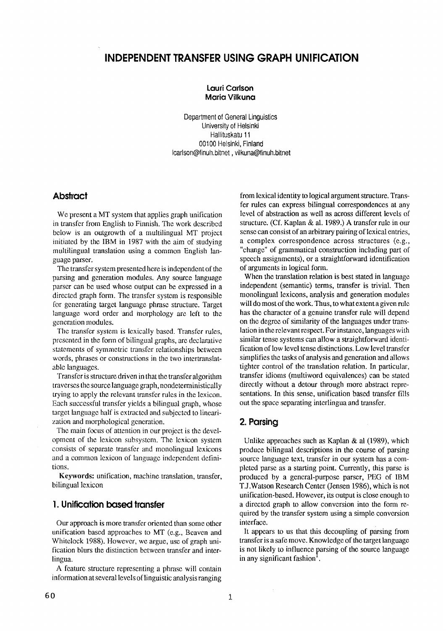# **INDEPENDENT TRANSFER USING GRAPH UNIFICATION**

# **Lauri Carlson Maria Vilkuna**

Department of General Linguistics University of Helsinki Hallituskatu 11 00100 Helsinki, Finland Icarlson@finuh.bitnet, viikuna@finuh.bitnet

# **Abstract**

We present a MT system that applies graph unification in transfer from English to Finnish. The work described below is an outgrowth of a multilingual MT project initiated by the IBM in 1987 with the aim of studying multilingual translation using a common English language parser.

The transfer system presented here is independent of the parsing and generation modules. Any source language parser can be used whose output can be expressed in a directed graph form. The transfer system is responsible for generating target language phrase structure. Target language word order and morphology are left to the generation modules.

The transfer system is lexically based. Transfer rules, presented in the form of bilingual graphs, are declarative statements of symmetric transfer relationships between words, phrases or constructions in the two intertranslatable languages.

Transfer is structure driven in that the transfer algorithm traverses the source language graph, nondeterministically trying to apply the relevant transfer rules in the lexicon. Each successful transfer yields a bilingual graph, whose target language half is extracted and subjected to linearization and morphological generation.

The main focus of attention in our project is the development of the lexicon subsystem. The lexicon system consists of separate transfer and monolingual lexicons and a common lexicon of language independent definitions.

Keywords: unification, machine translation, transfer, bilingual lexicon

# **I. Unification based transfer**

Our approach is more transfer oriented than some other unification based approaches to MT (e.g., Beaven and Whitelock 1988). However, we argue, use of graph unification blurs the distinction between transfer and interlingua.

A feature structure representing a phrase will contain information at several levels of linguistic analysis ranging from lexical identity to logical argument structure. Transfer rules can express bilingual correspondences at any level of abstraction as well as across different levels of structure. (Cf. Kaplan & al. 1989.) A transfer rule in our sense can consist of an arbitrary pairing of lexical entries, a complex correspondence across structures (e.g., "change" of grammatical construction including part of speech assignments), or a straightforward identification of arguments in logical form.

When the translation relation is best stated in language independent (semantic) terms, transfer is trivial. Then monolingual lexicons, analysis and generation modules will do most of the work. Thus, to what extent a given rule has the character of a genuine transfer rule will depend on the degree of similarity of the languages under translation in the relevant respect. For instance, languages with similar tense systems can allow a straightforward identification of low level tense distinctions. Low level transfer simplifies the tasks of analysis and generation and allows tighter control of the translation relation. In particular, transfer idioms (multiword equivalences) can be stated directly without a detour through more abstract representations. In this sense, unification based transfer fills out the space separating interlingua and transfer.

# **2. Parsing**

Unlike approaches such as Kaplan & al (1989), which produce bilingual descriptions in the course of parsing source language text, transfer in our system has a completed parse as a starting point. Currently, this parse is produced by a general-purpose parser, PEG of IBM T.J.Watson Research Center (Jensen 1986), which is not unification-based. However, its output is close enough to a directed graph to allow conversion into the form required by the transfer system using a simple conversion interface.

It appears to us that this decoupling of parsing from transfer is a safe move. Knowledge of the target language is not likely to influence parsing of the source language in any significant fashion $<sup>1</sup>$ .</sup>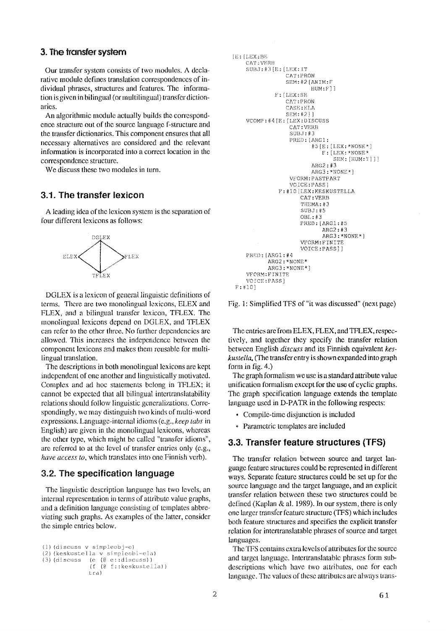#### **3. lhe transfer system**

Our transfer system consists of two modules. A declarative module defines translation correspondences of individual phrases, structures and features. The information is given in bilingual (or multilingual) transfer dictionaries.

An algorithmic module actually builds the correspondence structure out of the source language f-structure and the transfer dictionaries. This component ensures that all necessary alternatives are considered and the relevant information is incorporated into a correct location in the correspondence structure.

We discuss these two modules in turn.

# **3.1. The transfer lexicon**

A leading idea of the lexicon system is the separation of four different lexicons as follows:



DGLEX is a lexicon of general linguistic definitions of terms. There are two monolingual lexicons, ELEX and FLEX, and a bilingual transfer lexicon, TFLEX. The monolingual lexicons depend on DGLEX, and TFLEX can refer to the other three. No further dependencies are allowed. This increases the independence between the component lexicons and makes them reusable for multilingual translation.

The descriptions in both monolingual lexicons are kept independent of one another and linguistically motivated. Complex and ad hoc statements belong in TFLEX; it cannot be expected that all bilingual intertranslatability relations should follow linguistic generalizations. Correspondingly, we may distinguish two kinds of multi-word expressions. Language-internal idioms (e.g., *keep tabs* in English) are given in the monolingual lexicons, whereas the other type, which might be called "transfer idioms", are referred to at the level of transfer entries only  $(e.g.,)$ *have access to,* which translates into one Finnish verb).

#### **3.2. The specification language**

The linguistic description language has two levels, an internal representation in terms of attribute value graphs, and a definition language consisting of templates abbreviating such graphs. As examples of the latter, consider the simple entries below.

```
(1) (discuss v simpleobj-e)
(2) (keskustella v simpleobl-ela)<br>(3) (discuss (e (@ e::discuss))
                  (e (e \t i:discuss))(f (@ f: :keskusteila) ) 
                  tra)
```

```
[E: [LEX:BE
    CAT:VERB 
    SUBJ:#3[E: [LEX:IT
                 CAT:PRON 
                 SEM:#2[ANIM:F 
                         HUM:f']] 
             E:[LEX:SE 
                 CAT:PRON 
                 CASE : EI,A 
                 SEM:#2]] 
    VCOMP:#4[E: [LEX:DISCUSS 
                  CAT:VERB 
                  SUBJ:#3 
                  PRED: [ARG1:
                         #5[E:[LEX:*NONE*] 
                            F:[LEX.*NONE*SEM:[HUM:T]]] 
                         ARG2:#3 
                         ARG3:*NONE *] 
                  VFORM:PASTPART 
                  VOICE:PASS] 
              F:#I0[LEX:KESKUSTELLA 
                     CAT:VERB 
                     THEMA:#3 
                      SUBJ : # 5 
                     OBL:#3 
                     PRED: [ARG1:#5
                             ARG2:#3 
                             ARG3:*NONE*] 
                      VFORM:FINITE 
                      VOICE:PASS]] 
    PRED:[ARGI:#4 
           ARG2:*NONE* 
           ARG3:*NONE*] 
    VFORM:FIN!TE 
    VOICE:PASS] 
F:#!0]
```
Fig. 1: Simplified TFS of "it was discussed" (next page)

The entries are from ELEX, FLEX, and TFLEX, respectively, and together they specify the transfer relation between English *discuss* and its Finnish equivalent *keskustella.* (The transfer entry is shown expanded into graph form in fig. 4.)

The graph formalism we use is a standard attribute value unification formalism except for the use of cyclic graphs. The graph specification language extends the template language used in D-PATR in the following respects:

- Compile-time disjunction is included
- Parametric templates are included

#### **3.3. Transfer feature structures (TFS)**

The transfer relation between source and target language feature structures could be represented in different ways. Separate feature structures could be set up for the source language and the target language, and an explicit transfer relation between these two structures could be defined (Kaplan & al. 1989). in our system, there is only one larger transfer feature structure (TFS) which includes both feature structures and specifies the explicit transfer relation for intertranslatable phrases of source and target languages.

The TFS contains extra levels of attributes for the source and target language. Intertranslatable phrases form subdescriptions which have two altributes, one for each language. The values of these attributes are always trans-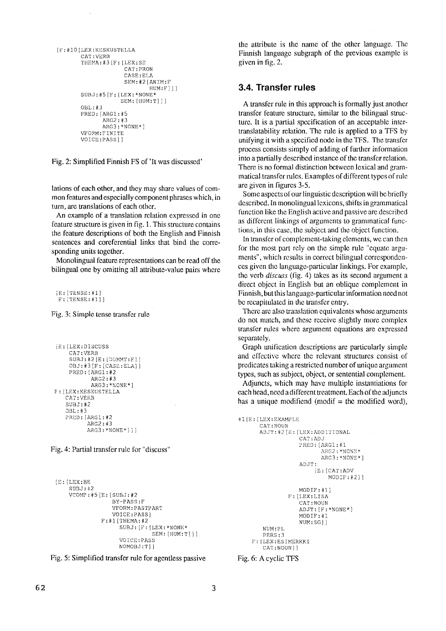```
[F:#10[LEX:KESKUSTELLA 
       CAT:VERB 
       THEMA:#3[F:[LEX:SE 
                     CAT:PRON 
                     CASE:ELA 
                     SEM:#2[ANIM:F 
                             HUM:F]]]
       SUBJ:#5[F:[LEX:*NONE* 
                    SEM: [HUM:T]]]
       OBL:#3 
       PRED: [ARGI:#5 
              ARG2:#3 
              ARG3:*NONE*] 
       VFORM:FINITE 
       VOICE:PASS]]
```
**Fig. 2: Simplified Finnish FS of 'It was discussed'** 

lations of each other, and they may share values of com**mon features and especially component phrases which, in turn, are translations of each other.** 

An example of a translation relation expressed in one **feature structure is given in fig. 1. This structure contains the feature descriptions of both the English and Finnish sentences and coreferential links that bind the corresponding units together.** 

**Monolingual feature representations can be read off the**  bilingual one by omitting all attribute-value pairs where

[E:[TENSE:#I]  $F:$ [TENSE:#1]]

**Fig. 3: Simple tense transfer rule** 

```
[E:[LEX:DISCUSS 
    CAT:VERB 
    SUBJ:#2[E:[DUMMY:F]] 
    OBJ:#3[F:[CASE:ELA]] 
    PRED: [ARGI:#2 
           ARG2:#3 
           ARG3:*NONE*] 
F:[LEX:KESKUSTELLA 
   CAT:VERBSUBJ:#2 
   OBL:#3 
   PRED: [ARGI:#2 
          ARG2:#3 
          ARG3:*NONE*]]]
```
**Fig. 4: Partial transfer rule for "discuss"** 

```
IR:ILRY:RRSUBJ:#2 
    VCOMP:#5[E:[SUBJ:#2 
                 BY-PASS:F 
                 VFORM:PASTPART 
                 VOICE:PASS] 
              F:#1[THEMA:#2 
                    SUBJ: [F:[LEX:*NONE* 
                              SEM: [HUM:T]]]
                    VOICE:PASS 
                    NOMOBJ:T] ]
```
**Fig. 5: Simplified transfer rule for agentless passive** 

the attribute is the name of the other language. The **Finnish language subgraph of the previous example is given in fig. 2.** 

# **3.4. Transfer rules**

**A transfer rule in this approach is formally just another transfer feature structure, similar to the bilingual structure. It is a partial specification of an acceptable intertranslatability relation. The rule is applied to a TFS by unifying it with a specified node in the "ITS. The transfer process consists simply of adding of further information into a partially described instance of the transfer relation. There is no formal distinction between lexical and grammatical transfer rules. Examples of different types of rule are given in figures 3-5.** 

**Some aspects of our linguistic description will be briefly described. In monolingual lexicons, shills in grammatical function like the English active and passive are described as different Iinkings of arguments to grammatical functions, in this case, the subject and the object function.** 

**In transfer of complement-taking elements, we can then for the most part rely on the simple rule "equate argu**ments", which results in correct bilingual corresponden**ces given the language-particular linkings. For example, the verb** *disc~s* **(fig. 4) rakes as its second argument a direct object in English but an oblique complement in**  Finnish, but this language-particular information need not **be recapitulated in the transfer entry.** 

**There are also translation equivalents whose arguments do not match, and these receive slightly more complex transfer rules where argument equations are expressed separately.** 

**Graph unification descriptions are particularly simple and effective where the relevant structures consist of**  predicates taking a restricted number of unique argument **types, such as subject, object, or sentential complement.** 

**Adjuncts, which may have multiple instantiations for each head, need a different treatment. Each of the adjuncts has a unique modifiend (modif = the modified word),** 

```
#1[E: [LEX:EXAMPLE
       CAT : NOUN 
       ADJT:#2[E: [LEX:ADDITIONAL 
                     CAT : ADJ 
                     PRED: [ARGI:#1 
                             ARG2 : *NONE': 
                             ARG3 : *NONE*] 
                     ADJT : 
                           [E: [CAT :ADV 
                                MODIF:#2]] 
                     MODIF:#I] 
                 F: [LEX:LISA 
                     CAT : NOUN 
                     ADJT : [F : *NONE*] 
                     MOD IF : # i 
                     NUM:SG] ] 
        NUM:PL 
        PERS : 3 
    F: [LEX : ES IMERKKI 
        CAT:NOUN] ]
```
**Fig. 6: A cyclic** TFS